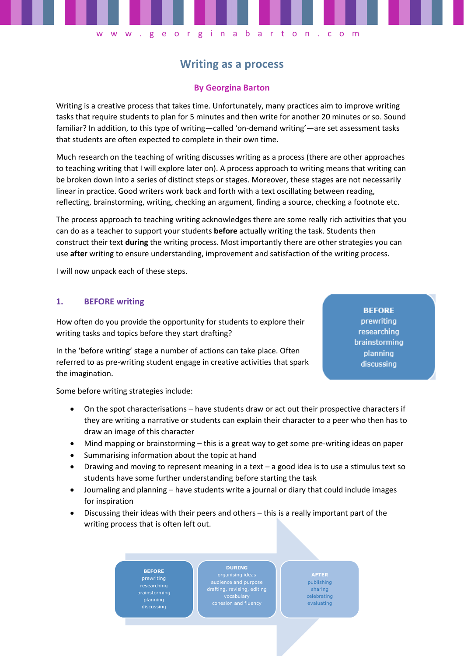# **Writing as a process**

w w w . g e o r g i n a b a r t o n . c o m

## **By Georgina Barton**

Writing is a creative process that takes time. Unfortunately, many practices aim to improve writing tasks that require students to plan for 5 minutes and then write for another 20 minutes or so. Sound familiar? In addition, to this type of writing—called 'on-demand writing'—are set assessment tasks that students are often expected to complete in their own time.

Much research on the teaching of writing discusses writing as a process (there are other approaches to teaching writing that I will explore later on). A process approach to writing means that writing can be broken down into a series of distinct steps or stages. Moreover, these stages are not necessarily linear in practice. Good writers work back and forth with a text oscillating between reading, reflecting, brainstorming, writing, checking an argument, finding a source, checking a footnote etc.

The process approach to teaching writing acknowledges there are some really rich activities that you can do as a teacher to support your students **before** actually writing the task. Students then construct their text **during** the writing process. Most importantly there are other strategies you can use **after** writing to ensure understanding, improvement and satisfaction of the writing process.

I will now unpack each of these steps.

#### **1. BEFORE writing**

How often do you provide the opportunity for students to explore their writing tasks and topics before they start drafting?

In the 'before writing' stage a number of actions can take place. Often referred to as pre-writing student engage in creative activities that spark the imagination.

**BEFORE** prewriting researching brainstorming planning discussing

Some before writing strategies include:

- On the spot characterisations have students draw or act out their prospective characters if they are writing a narrative or students can explain their character to a peer who then has to draw an image of this character
- Mind mapping or brainstorming this is a great way to get some pre-writing ideas on paper
- Summarising information about the topic at hand
- Drawing and moving to represent meaning in a text a good idea is to use a stimulus text so students have some further understanding before starting the task
- Journaling and planning have students write a journal or diary that could include images for inspiration
- Discussing their ideas with their peers and others this is a really important part of the writing process that is often left out.

**BEFORE** prewriting researching brainstorming discussing

audience and purpose drafting, revising, editing

**DURING**

**1**

publishing sharing celebrating evaluating